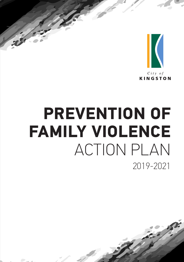

# 2019-2021 **PREVENTION OF FAMILY VIOLENCE** ACTION PLAN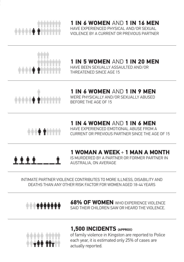

**1 IN 6 WOMEN** AND **1 IN 16 MEN** HAVE EXPERIENCED PHYSICAL AND/OR SEXUAL VIOLENCE BY A CURRENT OR PREVIOUS PARTNER



## **1 IN 5 WOMEN** AND **1 IN 20 MEN**

HAVE BEEN SEXUALLY ASSAULTED AND/OR THREATENED SINCE AGE 15



## **1 IN 6 WOMEN** AND **1 IN 9 MEN**

WERE PHYSICALLY AND/OR SEXUALLY ABUSED BEFORE THE AGE OF 15



### **1 IN 4 WOMEN** AND **1 IN 6 MEN**

HAVE EXPERIENCED EMOTIONAL ABUSE FROM A CURRENT OR PREVIOUS PARTNER SINCE THE AGE OF 15

**A 4 4** 

### **1 WOMAN A WEEK** + **1 MAN A MONTH**

IS MURDERED BY A PARTNER OR FORMER PARTNER IN AUSTRALIA, ON AVERAGE

#### INTIMATE PARTNER VIOLENCE CONTRIBUTES TO MORE ILLNESS, DISABILITY AND DEATHS THAN ANY OTHER RISK FACTOR FOR WOMEN AGED 18-44 YEARS



**68% OF WOMEN** WHO EXPERIENCE VIOLENCE SAID THEIR CHILDREN SAW OR HEARD THE VIOLENCE.



### **1,500 INCIDENTS (APPROX)**

of family violence in Kingston are reported to Police each year, it is estimated only 25% of cases are actually reported.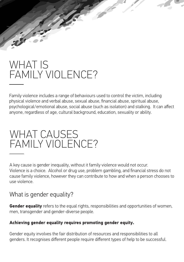# WHAT IS FAMILY VIOLENCE?

Family violence includes a range of behaviours used to control the victim, including physical violence and verbal abuse, sexual abuse, financial abuse, spiritual abuse, psychological/emotional abuse, social abuse (such as isolation) and stalking. It can affect anyone, regardless of age, cultural background, education, sexuality or ability.

# WHAT CAUSES FAMILY VIOL FNCF?

A key cause is gender inequality, without it family violence would not occur. Violence is a choice. Alcohol or drug use, problem gambling, and financial stress do not cause family violence, however they can contribute to how and when a person chooses to use violence.

## What is gender equality?

**Gender equality** refers to the equal rights, responsibilities and opportunities of women, men, transgender and gender-diverse people.

### **Achieving gender equality requires promoting gender equity.**

Gender equity involves the fair distribution of resources and responsibilities to all genders. It recognises different people require different types of help to be successful.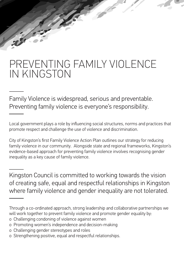# PREVENTING FAMILY VIOLENCE IN KINGSTON

Family Violence is widespread, serious and preventable. Preventing family violence is everyone's responsibility.

Local government plays a role by influencing social structures, norms and practices that promote respect and challenge the use of violence and discrimination.

City of Kingston's first Family Violence Action Plan outlines our strategy for reducing family violence in our community. Alongside state and regional frameworks, Kingston's evidence-based approach for preventing family violence involves recognising gender inequality as a key cause of family violence.

Kingston Council is committed to working towards the vision of creating safe, equal and respectful relationships in Kingston where family violence and gender inequality are not tolerated.

- o Challenging condoning of violence against women
- o Promoting women's independence and decision-making
- o Challenging gender stereotypes and roles
- o Strengthening positive, equal and respectful relationships.

Through a co-ordinated approach, strong leadership and collaborative partnerships we will work together to prevent family violence and promote gender equality by: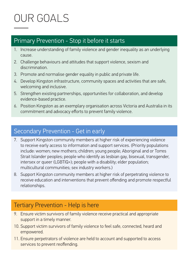# OUR GOALS

### Primary Prevention - Stop it before it starts

- 1. Increase understanding of family violence and gender inequality as an underlying cause.
- 2. Challenge behaviours and attitudes that support violence, sexism and discrimination.
- 3. Promote and normalise gender equality in public and private life.
- 4. Develop Kingston infrastructure, community spaces and activities that are safe, welcoming and inclusive.
- 5. Strengthen existing partnerships, opportunities for collaboration, and develop evidence-based practice.
- 6. Position Kingston as an exemplary organisation across Victoria and Australia in its commitment and advocacy efforts to prevent family violence.

## Secondary Prevention - Get in early

- 7. Support Kingston community members at higher risk of experiencing violence to receive early access to information and support services. (Priority populations include: women; new mothers; children; young people; Aboriginal and or Torres Strait Islander peoples; people who identify as lesbian gay, bisexual, transgender, intersex or queer (LGBTIQ+); people with a disability; elder population; multicultural communities; sex industry workers.)
- 8. Support Kingston community members at higher risk of perpetrating violence to receive education and interventions that prevent offending and promote respectful relationships.

## Tertiary Prevention - Help is here

- 9. Ensure victim survivors of family violence receive practical and appropriate support in a timely manner.
- 10. Support victim survivors of family violence to feel safe, connected, heard and empowered.
- 11. Ensure perpetrators of violence are held to account and supported to access services to prevent reoffending.